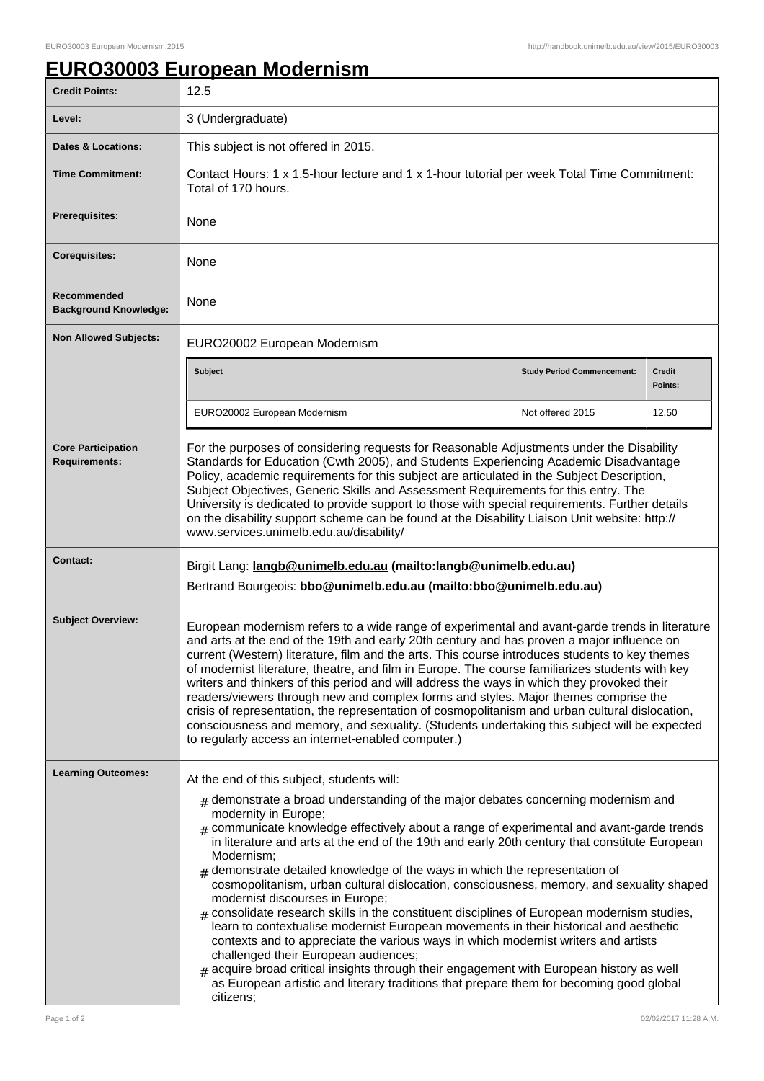## **EURO30003 European Modernism**

| <b>Credit Points:</b>                             | 12.5                                                                                                                                                                                                                                                                                                                                                                                                                                                                                                                                                                                                                                                                                                                                                                                                                                                                                                                                                                                                                                                                                  |                                   |                          |
|---------------------------------------------------|---------------------------------------------------------------------------------------------------------------------------------------------------------------------------------------------------------------------------------------------------------------------------------------------------------------------------------------------------------------------------------------------------------------------------------------------------------------------------------------------------------------------------------------------------------------------------------------------------------------------------------------------------------------------------------------------------------------------------------------------------------------------------------------------------------------------------------------------------------------------------------------------------------------------------------------------------------------------------------------------------------------------------------------------------------------------------------------|-----------------------------------|--------------------------|
| Level:                                            | 3 (Undergraduate)                                                                                                                                                                                                                                                                                                                                                                                                                                                                                                                                                                                                                                                                                                                                                                                                                                                                                                                                                                                                                                                                     |                                   |                          |
| <b>Dates &amp; Locations:</b>                     | This subject is not offered in 2015.                                                                                                                                                                                                                                                                                                                                                                                                                                                                                                                                                                                                                                                                                                                                                                                                                                                                                                                                                                                                                                                  |                                   |                          |
| <b>Time Commitment:</b>                           | Contact Hours: 1 x 1.5-hour lecture and 1 x 1-hour tutorial per week Total Time Commitment:<br>Total of 170 hours.                                                                                                                                                                                                                                                                                                                                                                                                                                                                                                                                                                                                                                                                                                                                                                                                                                                                                                                                                                    |                                   |                          |
| Prerequisites:                                    | None                                                                                                                                                                                                                                                                                                                                                                                                                                                                                                                                                                                                                                                                                                                                                                                                                                                                                                                                                                                                                                                                                  |                                   |                          |
| <b>Corequisites:</b>                              | None                                                                                                                                                                                                                                                                                                                                                                                                                                                                                                                                                                                                                                                                                                                                                                                                                                                                                                                                                                                                                                                                                  |                                   |                          |
| Recommended<br><b>Background Knowledge:</b>       | None                                                                                                                                                                                                                                                                                                                                                                                                                                                                                                                                                                                                                                                                                                                                                                                                                                                                                                                                                                                                                                                                                  |                                   |                          |
| <b>Non Allowed Subjects:</b>                      | EURO20002 European Modernism                                                                                                                                                                                                                                                                                                                                                                                                                                                                                                                                                                                                                                                                                                                                                                                                                                                                                                                                                                                                                                                          |                                   |                          |
|                                                   | <b>Subject</b>                                                                                                                                                                                                                                                                                                                                                                                                                                                                                                                                                                                                                                                                                                                                                                                                                                                                                                                                                                                                                                                                        | <b>Study Period Commencement:</b> | <b>Credit</b><br>Points: |
|                                                   | EURO20002 European Modernism                                                                                                                                                                                                                                                                                                                                                                                                                                                                                                                                                                                                                                                                                                                                                                                                                                                                                                                                                                                                                                                          | Not offered 2015                  | 12.50                    |
| <b>Core Participation</b><br><b>Requirements:</b> | For the purposes of considering requests for Reasonable Adjustments under the Disability<br>Standards for Education (Cwth 2005), and Students Experiencing Academic Disadvantage<br>Policy, academic requirements for this subject are articulated in the Subject Description,<br>Subject Objectives, Generic Skills and Assessment Requirements for this entry. The<br>University is dedicated to provide support to those with special requirements. Further details<br>on the disability support scheme can be found at the Disability Liaison Unit website: http://<br>www.services.unimelb.edu.au/disability/                                                                                                                                                                                                                                                                                                                                                                                                                                                                    |                                   |                          |
| <b>Contact:</b>                                   | Birgit Lang: langb@unimelb.edu.au (mailto:langb@unimelb.edu.au)<br>Bertrand Bourgeois: bbo@unimelb.edu.au (mailto:bbo@unimelb.edu.au)                                                                                                                                                                                                                                                                                                                                                                                                                                                                                                                                                                                                                                                                                                                                                                                                                                                                                                                                                 |                                   |                          |
| <b>Subject Overview:</b>                          | European modernism refers to a wide range of experimental and avant-garde trends in literature<br>and arts at the end of the 19th and early 20th century and has proven a major influence on<br>current (Western) literature, film and the arts. This course introduces students to key themes<br>of modernist literature, theatre, and film in Europe. The course familiarizes students with key<br>writers and thinkers of this period and will address the ways in which they provoked their<br>readers/viewers through new and complex forms and styles. Major themes comprise the<br>crisis of representation, the representation of cosmopolitanism and urban cultural dislocation,<br>consciousness and memory, and sexuality. (Students undertaking this subject will be expected<br>to regularly access an internet-enabled computer.)                                                                                                                                                                                                                                       |                                   |                          |
| <b>Learning Outcomes:</b>                         | At the end of this subject, students will:                                                                                                                                                                                                                                                                                                                                                                                                                                                                                                                                                                                                                                                                                                                                                                                                                                                                                                                                                                                                                                            |                                   |                          |
|                                                   | $*$ demonstrate a broad understanding of the major debates concerning modernism and<br>modernity in Europe;<br>$_{\#}$ communicate knowledge effectively about a range of experimental and avant-garde trends<br>in literature and arts at the end of the 19th and early 20th century that constitute European<br>Modernism;<br>$#$ demonstrate detailed knowledge of the ways in which the representation of<br>cosmopolitanism, urban cultural dislocation, consciousness, memory, and sexuality shaped<br>modernist discourses in Europe;<br>$*$ consolidate research skills in the constituent disciplines of European modernism studies,<br>learn to contextualise modernist European movements in their historical and aesthetic<br>contexts and to appreciate the various ways in which modernist writers and artists<br>challenged their European audiences;<br>$_{\text{\#}}$ acquire broad critical insights through their engagement with European history as well<br>as European artistic and literary traditions that prepare them for becoming good global<br>citizens; |                                   |                          |